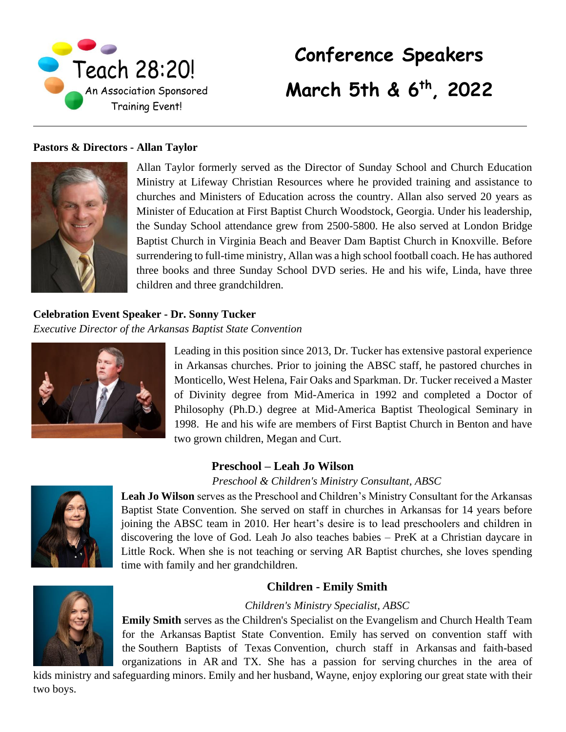

# **Conference Speakers March 5th & 6th, 2022**

#### **Pastors & Directors - Allan Taylor**



Allan Taylor formerly served as the Director of Sunday School and Church Education Ministry at Lifeway Christian Resources where he provided training and assistance to churches and Ministers of Education across the country. Allan also served 20 years as Minister of Education at First Baptist Church Woodstock, Georgia. Under his leadership, the Sunday School attendance grew from 2500-5800. He also served at London Bridge Baptist Church in Virginia Beach and Beaver Dam Baptist Church in Knoxville. Before surrendering to full-time ministry, Allan was a high school football coach. He has authored three books and three Sunday School DVD series. He and his wife, Linda, have three children and three grandchildren.

#### **Celebration Event Speaker - Dr. Sonny Tucker**

*Executive Director of the Arkansas Baptist State Convention*



Leading in this position since 2013, Dr. Tucker has extensive pastoral experience in Arkansas churches. Prior to joining the ABSC staff, he pastored churches in Monticello, West Helena, Fair Oaks and Sparkman. Dr. Tucker received a Master of Divinity degree from Mid-America in 1992 and completed a Doctor of Philosophy (Ph.D.) degree at Mid-America Baptist Theological Seminary in 1998. He and his wife are members of First Baptist Church in Benton and have two grown children, Megan and Curt.

# **Preschool – Leah Jo Wilson**

#### *Preschool & Children's Ministry Consultant, ABSC*



**Leah Jo Wilson** serves as the Preschool and Children's Ministry Consultant for the Arkansas Baptist State Convention. She served on staff in churches in Arkansas for 14 years before joining the ABSC team in 2010. Her heart's desire is to lead preschoolers and children in discovering the love of God. Leah Jo also teaches babies – PreK at a Christian daycare in Little Rock. When she is not teaching or serving AR Baptist churches, she loves spending time with family and her grandchildren.

# **Children - Emily Smith**

#### *Children's Ministry Specialist, ABSC*

**Emily Smith** serves as the Children's Specialist on the Evangelism and Church Health Team for the Arkansas Baptist State Convention. Emily has served on convention staff with the Southern Baptists of Texas Convention, church staff in Arkansas and faith-based organizations in AR and TX. She has a passion for serving churches in the area of

kids ministry and safeguarding minors. Emily and her husband, Wayne, enjoy exploring our great state with their two boys.